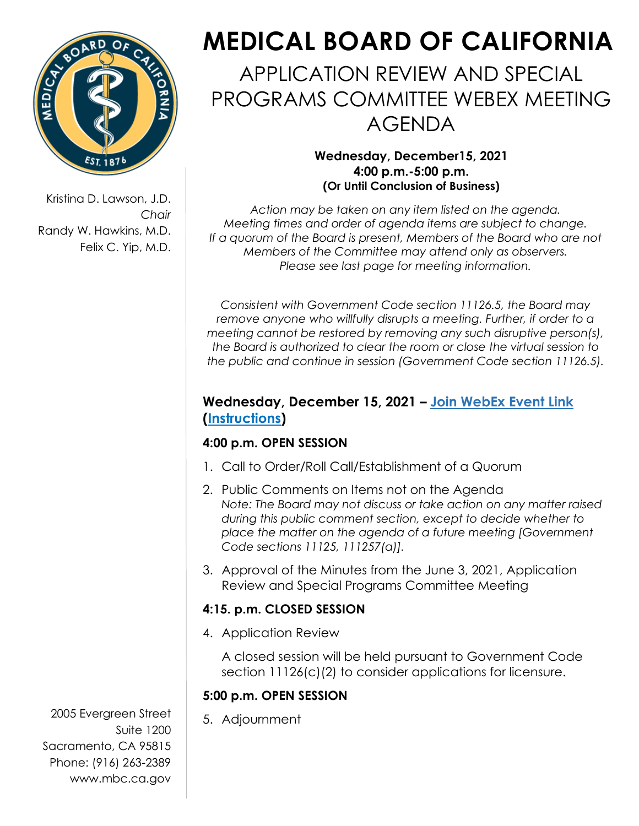

Kristina D. Lawson, J.D. *Chair* Randy W. Hawkins, M.D. Felix C. Yip, M.D.

# **MEDICAL BOARD OF CALIFORNIA**

APPLICATION REVIEW AND SPECIAL PROGRAMS COMMITTEE WEBEX MEETING AGENDA

#### **Wednesday, December15, 2021 4:00 p.m.-5:00 p.m. (Or Until Conclusion of Business)**

*Action may be taken on any item listed on the agenda. Meeting times and order of agenda items are subject to change. If a quorum of the Board is present, Members of the Board who are not Members of the Committee may attend only as observers. Please see last page for meeting information.*

*Consistent with Government Code section 11126.5, the Board may remove anyone who willfully disrupts a meeting. Further, if order to a meeting cannot be restored by removing any such disruptive person(s), the Board is authorized to clear the room or close the virtual session to the public and continue in session (Government Code section 11126.5).*

#### **Wednesday, December 15, 2021 – [Join WebEx Event Link](https://dca-meetings.webex.com/dca-meetings/j.php?MTID=m56e612ccd88bf66dafb6989af2d85fee) [\(Instructions](https://www.mbc.ca.gov/Download/User-Guides/HowToJoinAWebExEvent.pdf))**

## **4:00 p.m. OPEN SESSION**

- 1. Call to Order/Roll Call/Establishment of a Quorum
- 2. Public Comments on Items not on the Agenda *Note: The Board may not discuss or take action on any matter raised during this public comment section, except to decide whether to place the matter on the agenda of a future meeting [Government Code sections 11125, 111257(a)].*
- 3. Approval of the Minutes from the June 3, 2021, Application Review and Special Programs Committee Meeting

## **4:15. p.m. CLOSED SESSION**

4. Application Review

A closed session will be held pursuant to Government Code section 11126(c)(2) to consider applications for licensure.

## **5:00 p.m. OPEN SESSION**

5. Adjournment

2005 Evergreen Street Suite 1200 Sacramento, CA 95815 Phone: (916) 263-2389 [www.mbc.ca.gov](http://www.mbc.ca.gov/)